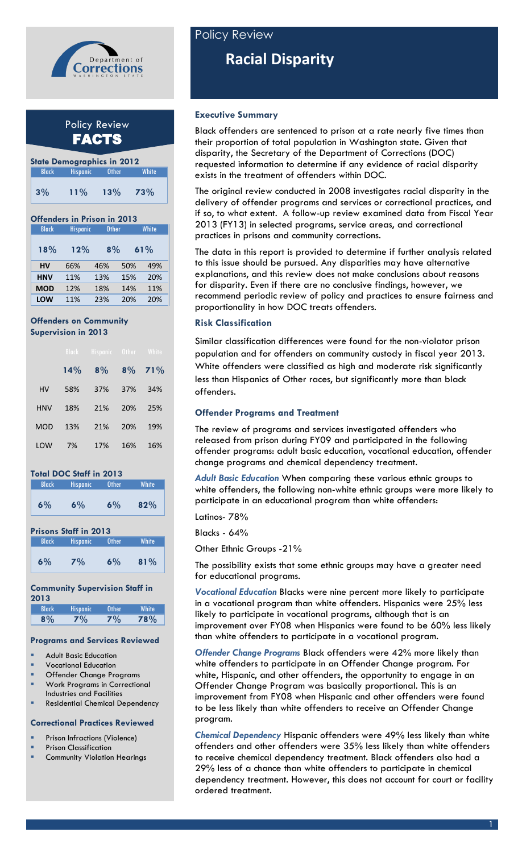

# Policy Review **FACTS**

| <b>State Demographics in 2012</b> |          |              |       |  |  |  |  |
|-----------------------------------|----------|--------------|-------|--|--|--|--|
| Black                             | Hispanic | <b>Other</b> | White |  |  |  |  |
| $3\%$                             | 11%      | 13%          | 73%   |  |  |  |  |

#### **Offenders in Prison in 2013**

| <b>Black</b> | <b>Hispanic</b> | <b>Other</b> |     | White |
|--------------|-----------------|--------------|-----|-------|
| 18%          | 12%             | $8\%$        |     | 61%   |
| HV           | 66%             | 46%          | 50% | 49%   |
| <b>HNV</b>   | 11%             | 13%          | 15% | 20%   |
| <b>MOD</b>   | 12%             | 18%          | 14% | 11%   |
| LOW          | 11%             | 23%          | 20% | 20%   |

# **Offenders on Community Supervision in 2013**

|            |     | <b>Black Hispanic Other</b> |       | <b>White</b> |
|------------|-----|-----------------------------|-------|--------------|
|            | 14% | $8\%$                       | $8\%$ | 71%          |
| HV         | 58% | 37%                         | 37%   | 34%          |
| <b>HNV</b> | 18% | 21%                         | 20%   | 25%          |
| <b>MOD</b> | 13% | 21%                         | 20%   | 19%          |
| LOW        | 7%  | 17%                         | 16%   | 16%          |

#### **Total DOC Staff in 2013**

| <b>Black</b> | <b>Hispanic</b> | <b>Other</b> | White |
|--------------|-----------------|--------------|-------|
| $6\%$        | 6%              | $6\%$        | 82%   |

# **Prisons Staff in 2013**

| <b>Black</b> | <b>Hispanic</b> | <b>Other</b> | White |
|--------------|-----------------|--------------|-------|
| 6%           | $7\%$           | 6%           | 81%   |

#### **Community Supervision Staff in 2013**

| <b>Rlack</b> | <b>Hispanic</b> | Other | White |
|--------------|-----------------|-------|-------|
|              |                 |       |       |

#### **Programs and Services Reviewed**

- Adult Basic Education
- Vocational Education
- Offender Change Programs
- Work Programs in Correctional
- Industries and Facilities Residential Chemical Dependency

#### **Correctional Practices Reviewed**

- Prison Infractions (Violence)
- Prison Classification
- Community Violation Hearings

# Policy Review

# **Racial Disparity**

## **Executive Summary**

Black offenders are sentenced to prison at a rate nearly five times than their proportion of total population in Washington state. Given that disparity, the Secretary of the Department of Corrections (DOC) requested information to determine if any evidence of racial disparity exists in the treatment of offenders within DOC.

The original review conducted in 2008 investigates racial disparity in the delivery of offender programs and services or correctional practices, and if so, to what extent. A follow-up review examined data from Fiscal Year 2013 (FY13) in selected programs, service areas, and correctional practices in prisons and community corrections.

The data in this report is provided to determine if further analysis related to this issue should be pursued. Any disparities may have alternative explanations, and this review does not make conclusions about reasons for disparity. Even if there are no conclusive findings, however, we recommend periodic review of policy and practices to ensure fairness and proportionality in how DOC treats offenders.

# **Risk Classification**

Similar classification differences were found for the non-violator prison population and for offenders on community custody in fiscal year 2013. White offenders were classified as high and moderate risk significantly less than Hispanics of Other races, but significantly more than black offenders.

### **Offender Programs and Treatment**

The review of programs and services investigated offenders who released from prison during FY09 and participated in the following offender programs: adult basic education, vocational education, offender change programs and chemical dependency treatment.

*Adult Basic Education* When comparing these various ethnic groups to white offenders, the following non-white ethnic groups were more likely to participate in an educational program than white offenders:

Latinos- 78%

Blacks - 64%

Other Ethnic Groups -21%

The possibility exists that some ethnic groups may have a greater need for educational programs.

*Vocational Education* Blacks were nine percent more likely to participate in a vocational program than white offenders. Hispanics were 25% less likely to participate in vocational programs, although that is an improvement over FY08 when Hispanics were found to be 60% less likely than white offenders to participate in a vocational program.

*Offender Change Programs* Black offenders were 42% more likely than white offenders to participate in an Offender Change program. For white, Hispanic, and other offenders, the opportunity to engage in an Offender Change Program was basically proportional. This is an improvement from FY08 when Hispanic and other offenders were found to be less likely than white offenders to receive an Offender Change program.

*Chemical Dependency* Hispanic offenders were 49% less likely than white offenders and other offenders were 35% less likely than white offenders to receive chemical dependency treatment. Black offenders also had a 29% less of a chance than white offenders to participate in chemical dependency treatment. However, this does not account for court or facility ordered treatment.